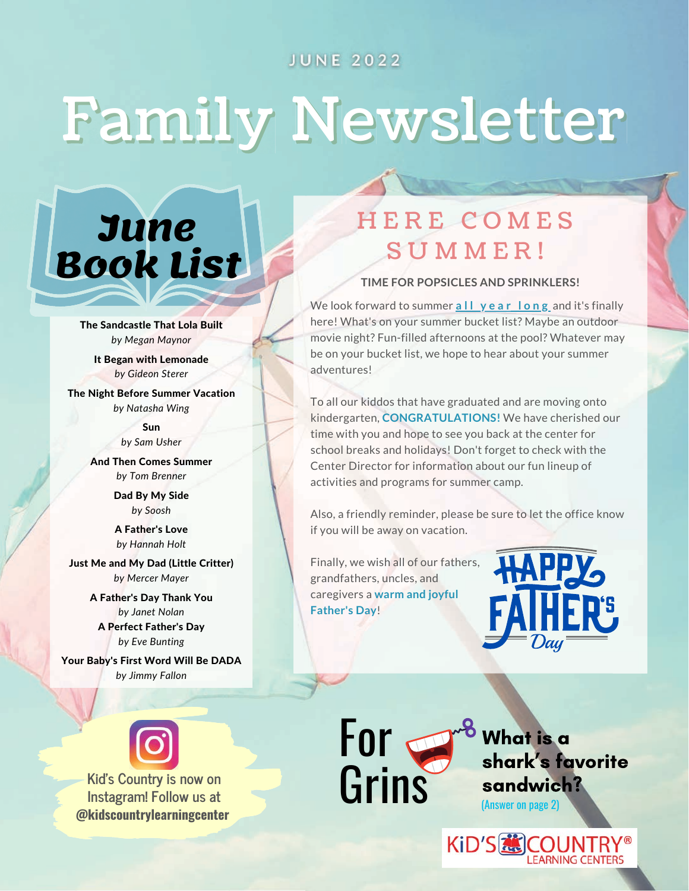#### **JUNE 2022**

# Family Newsletter



The [Sandcastle](https://www.readbrightly.com/books/9780375858994/how-rocket-learned-to-read-by-tad-hills-illustrated-by-tad-hills/) That Lola Built *by Megan Maynor*

It Began with [Lemonade](https://www.readbrightly.com/books/9780399539053/here-comes-teacher-cat-by-deborah-underwood-illustrated-by-claudia-rueda/) *by Gideon Sterer*

The Night Before Summer [Vacation](https://www.readbrightly.com/books/9780399257032/the-art-of-miss-chew-by-patricia-polacco-illustrated-by-patricia-polacco/) *by Natasha Wing*

> [Sun](https://www.readbrightly.com/books/9780593226186/thank-you-teacher-from-the-very-hungry-caterpillar-by-eric-carle-illustrated-by-eric-carle/) *by Sam Usher*

And Then Comes [Summer](https://www.harpercollins.com/9780062393494/toad-on-the-road-mama-and-me/) *by Tom Brenner*

> Dad By My [Side](https://www.harpercollins.com/9780062841742/ive-loved-you-since-forever/) *by Soosh*

A [Father's](https://www.barnesandnoble.com/w/a-fathers-love-hannah-holt/1129098558?ean=9780525514206) Love *by [Hannah](https://www.barnesandnoble.com/s/%22Hannah%20Holt%22?Ntk=P_key_Contributor_List&Ns=P_Sales_Rank&Ntx=mode%20matchall) Holt*

Just Me and My Dad (Little [Critter\)](https://www.harpercollins.com/9780060290160/my-mommy-hung-the-moon/) *by [Mercer](https://www.barnesandnoble.com/s/%22Mercer%20Mayer%22?Ntk=P_key_Contributor_List&Ns=P_Sales_Rank&Ntx=mode%20matchall) Mayer*

> A [Father's](https://www.harpercollins.com/9780062075475/the-berenstain-bears-we-love-our-mom/) Day Thank You *by Janet [Nolan](https://www.barnesandnoble.com/s/%22Janet%20%20Nolan%22?Ntk=P_key_Contributor_List&Ns=P_Sales_Rank&Ntx=mode%20matchall)* A Perfect [Father's](https://www.barnesandnoble.com/w/perfect-fathers-day-eve-bunting/1100459143?ean=9780395664162) Day *by Eve [Bunting](https://www.barnesandnoble.com/s/%22Eve%20Bunting%22?Ntk=P_key_Contributor_List&Ns=P_Sales_Rank&Ntx=mode%20matchall)*

Your [Baby's](https://www.barnesandnoble.com/w/your-babys-first-word-will-be-dada-jimmy-fallon/1124304915?ean=9781250071811) First Word Will Be DADA *by [Jimmy](https://www.barnesandnoble.com/s/%22Jimmy%20Fallon%22?Ntk=P_key_Contributor_List&Ns=P_Sales_Rank&Ntx=mode%20matchall) Fallon*



Kid's Country is now on<br>Instagram! Follow us at **Crins Instagram! Follow us at @kidscountrylearningcenter**

# H E R E C O M E S SUMMER!

#### **TIME FOR POPSICLES AND SPRINKLERS!**

We look forward to summer **a l l y e a r l o n g** and it's finally here! What's on your summer bucket list? Maybe an outdoor movie night? Fun-filled afternoons at the pool? Whatever may be on your bucket list, we hope to hear about your summer adventures!

To all our kiddos that have graduated and are moving onto kindergarten, **CONGRATULATIONS!** We have cherished our time with you and hope to see you back at the center for school breaks and holidays! Don't forget to check with the Center Director for information about our fun lineup of activities and programs for summer camp.

Also, a friendly reminder, please be sure to let the office know if you will be away on vacation.

Finally, we wish all of our fathers, grandfathers, uncles, and caregivers a **warm and joyful Father's Day**!

For

<sup>o</sup> What is a shark's favorite sandwich? (Answer on page 2)

**KiD'S &COUNT**